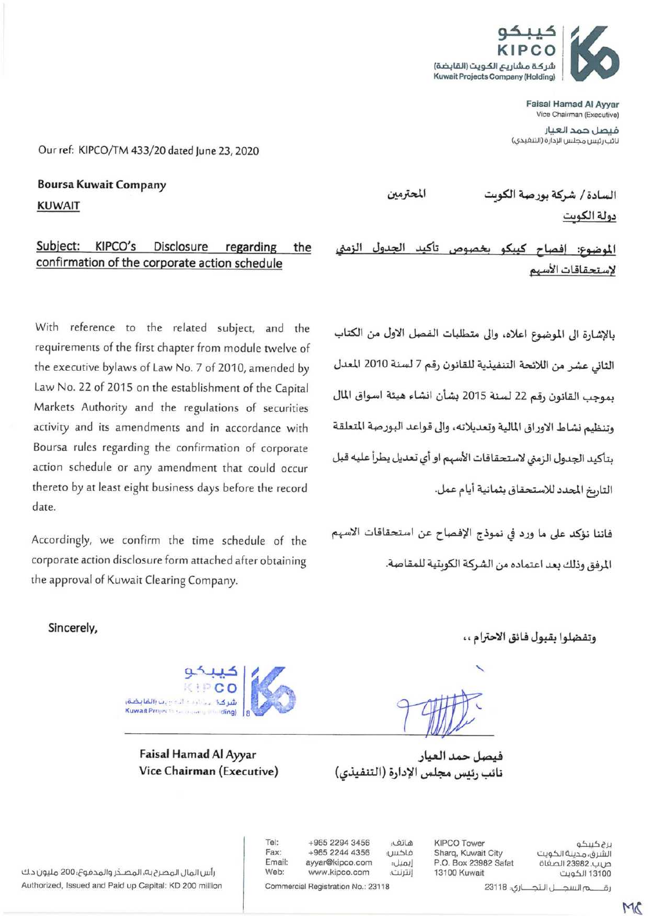

Faisal Hamad Al Ayyar Vice Chairman (Executive)

فيصل حمد العيار نائب رئيس مجلس الإدارة (التنغيذي)

السادة / شركة بورصة الكوىت

Our ref: KIPCO/TM 433/20 dated lune 23, 2020

**Boursa Kuwait Company KUWAIT** 

## Subject: KIPCO's Disclosure regarding the confirmation of the corporate action schedule

With reference to the related subject, and the requirements of the first chapter from module twelve of the executive bylaws of Law No. 7 of 2010, amended by Law No. 22 of 2015 on the establishment of the Capital Markets Authority and the regulations of securities activity and its amendments and in accordance with Boursa rules regarding the confirmation of corporate action schedule or any amendment that could occur thereto by at least eight business days before the record date.

Accordingly, we confirm the time schedule of the corporate action disclosure form attached after obtaining the approval of Kuwait Clearing Company.

المحترمين

دولة الكوت

الموضوع: إفصاح كيبكو بخصوص تأكيد النمض الجدول لاستحقاقات الأسهم

بالإشارة الى الموضوع اعلاه، والى متطلبات الفصل الاول من الكتاب الثاني عشر من اللائحة التنفيذية للقانون رقم 7 لسنة 2010 المعدل بموجب القانون رقم 22 لسنة 2015 بشأن انشاء هيئة اسواق المال وتنظيم نشاط الاوراق المالية وتعديلاته، والى قواعد البورصة المتعلقة بتأكيد الجدول الزمني لاستحقاقات الأسهم او أي تعديل يطرأ عليه قبل التاريخ المحدد للاستحقاق بثمانية أيام عمل.

فاننا نؤكد على ما ورد في نموذج الإفصاح عن استحقاقات الاسهم المرفق وذلك بعد اعتماده من الشركة الكويتية للمقاصة.

Sincerely.



Faisal Hamad Al Ayyar Vice Chairman (Executive) وتفضلوا بقبول فائق الاحترام ،،

فيصل حمد العيار نائب رئيس مجلس الإدارة (التنفيذي)

رأس المال المصرح به، المصدّر والمدفوع؛ 200 مليون د.ك Authorized, Issued and Paid up Capital: KD 200 million

+965 2294 3456 Fax: +965 2244 4356 Email: ayyar@kipco.com Web: www.kipco.com

Commercial Registration No.: 23118

Tel:

هاتف: فاكس: إيميل إنترنت؛

**KIPCO Tower** Sharq, Kuwait City P.O. Box 23982 Safat 13100 Kuwait

برج كبيكو الشرق، مدينة الكويت ص.ب. 23982 الصفاة 13100 الكويت